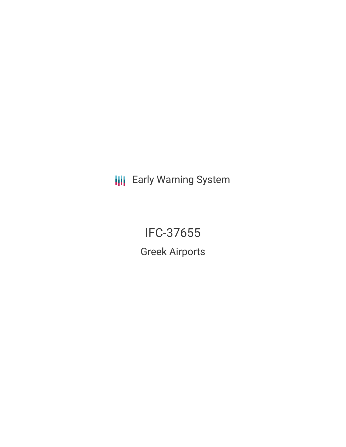**III** Early Warning System

IFC-37655 Greek Airports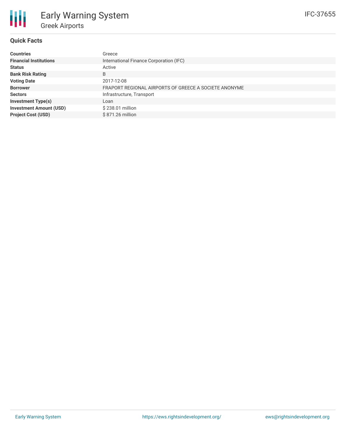## **Quick Facts**

| <b>Countries</b>               | Greece                                                |
|--------------------------------|-------------------------------------------------------|
| <b>Financial Institutions</b>  | International Finance Corporation (IFC)               |
| <b>Status</b>                  | Active                                                |
| <b>Bank Risk Rating</b>        | B                                                     |
| <b>Voting Date</b>             | 2017-12-08                                            |
| <b>Borrower</b>                | FRAPORT REGIONAL AIRPORTS OF GREECE A SOCIETE ANONYME |
| <b>Sectors</b>                 | Infrastructure, Transport                             |
| <b>Investment Type(s)</b>      | Loan                                                  |
| <b>Investment Amount (USD)</b> | \$238.01 million                                      |
| <b>Project Cost (USD)</b>      | \$871.26 million                                      |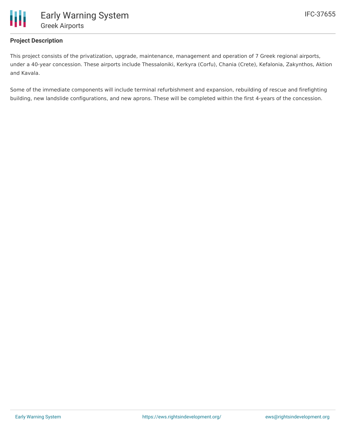

# **Project Description**

This project consists of the privatization, upgrade, maintenance, management and operation of 7 Greek regional airports, under a 40-year concession. These airports include Thessaloniki, Kerkyra (Corfu), Chania (Crete), Kefalonia, Zakynthos, Aktion and Kavala.

Some of the immediate components will include terminal refurbishment and expansion, rebuilding of rescue and firefighting building, new landslide configurations, and new aprons. These will be completed within the first 4-years of the concession.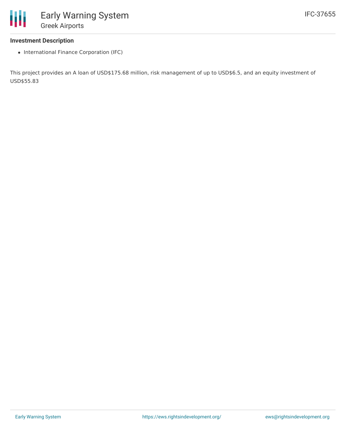### **Investment Description**

• International Finance Corporation (IFC)

This project provides an A loan of USD\$175.68 million, risk management of up to USD\$6.5, and an equity investment of USD\$55.83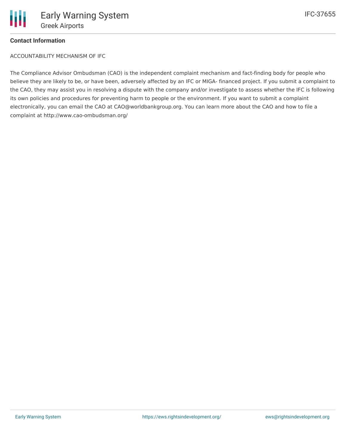

# **Contact Information**

ACCOUNTABILITY MECHANISM OF IFC

The Compliance Advisor Ombudsman (CAO) is the independent complaint mechanism and fact-finding body for people who believe they are likely to be, or have been, adversely affected by an IFC or MIGA- financed project. If you submit a complaint to the CAO, they may assist you in resolving a dispute with the company and/or investigate to assess whether the IFC is following its own policies and procedures for preventing harm to people or the environment. If you want to submit a complaint electronically, you can email the CAO at CAO@worldbankgroup.org. You can learn more about the CAO and how to file a complaint at http://www.cao-ombudsman.org/